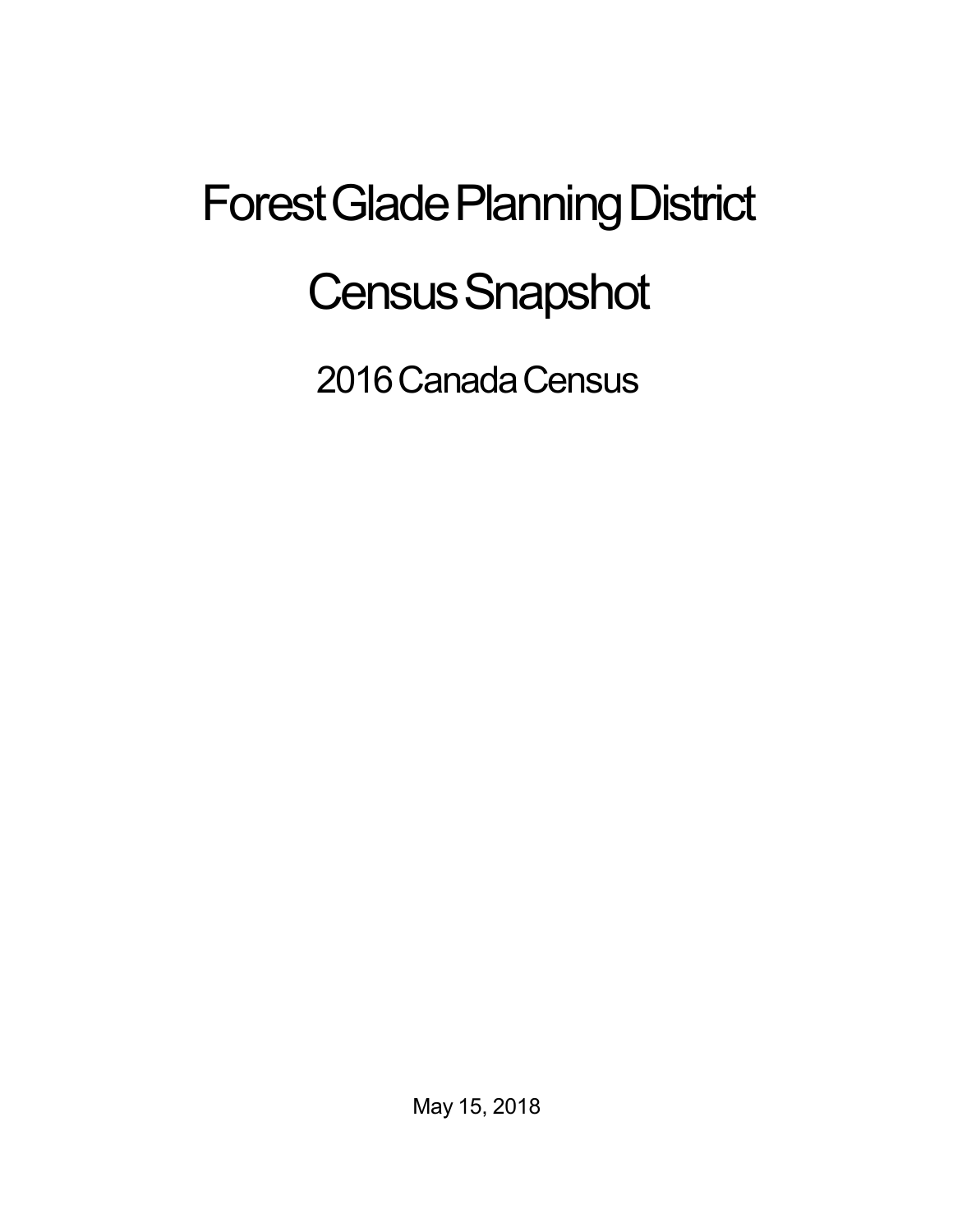## Forest Glade Planning District **Census Snapshot**

2016 Canada Census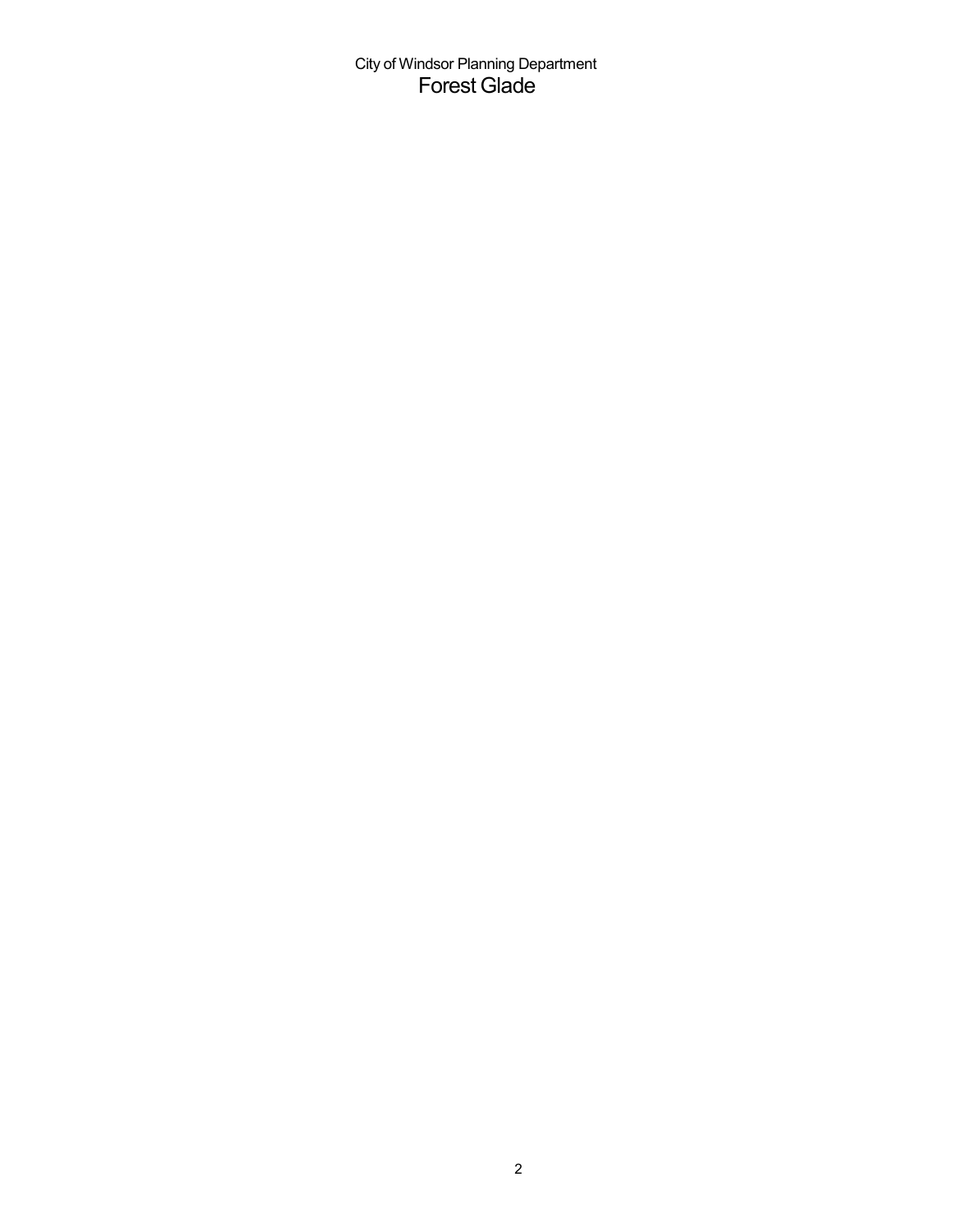City of Windsor Planning Department Forest Glade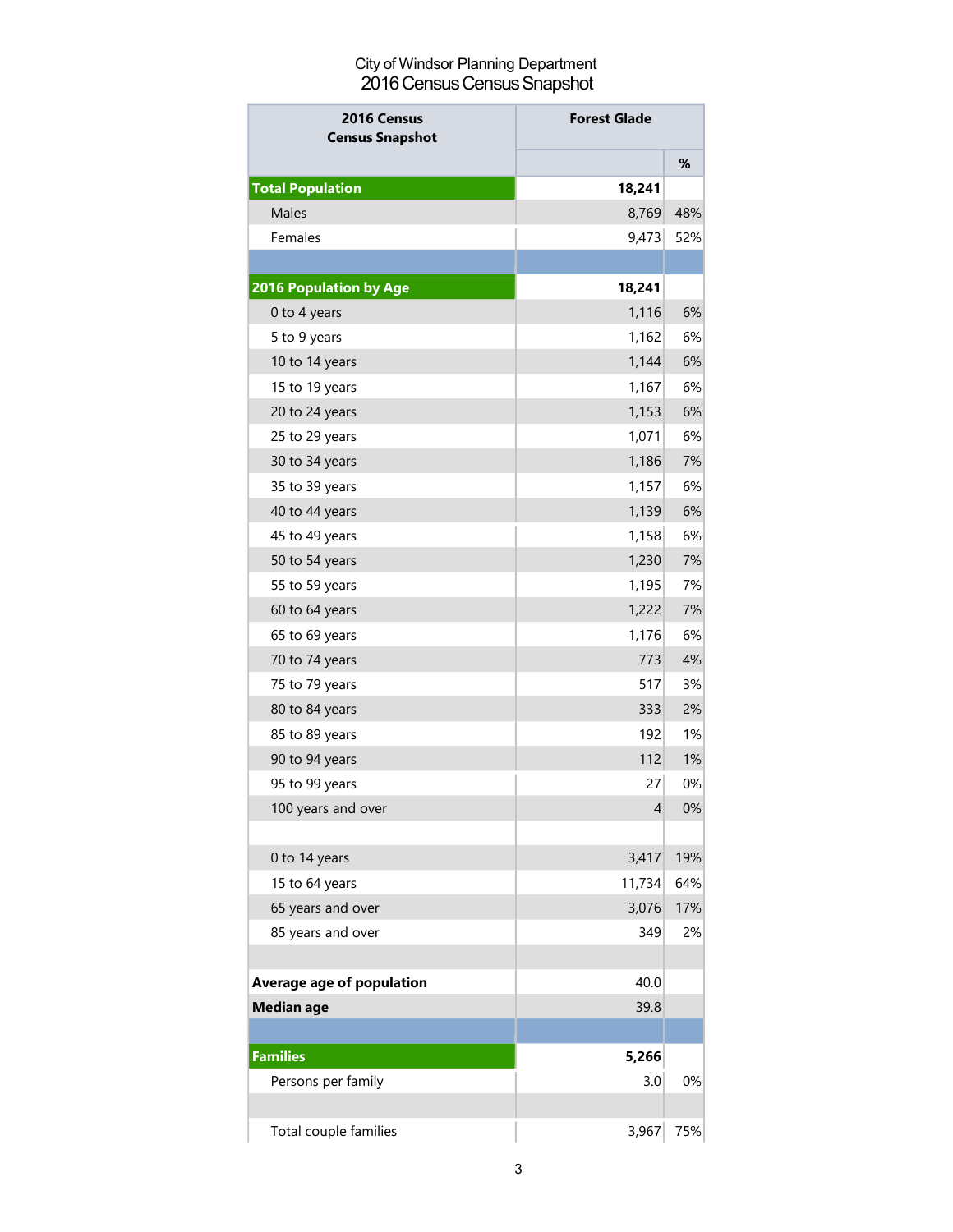## City of Windsor Planning Department 2016 Census Census Snapshot

| <b>Forest Glade</b><br>2016 Census<br><b>Census Snapshot</b> |        |     |
|--------------------------------------------------------------|--------|-----|
|                                                              |        | %   |
| <b>Total Population</b>                                      | 18,241 |     |
| <b>Males</b>                                                 | 8,769  | 48% |
| Females                                                      | 9,473  | 52% |
|                                                              |        |     |
| <b>2016 Population by Age</b>                                | 18,241 |     |
| 0 to 4 years                                                 | 1,116  | 6%  |
| 5 to 9 years                                                 | 1,162  | 6%  |
| 10 to 14 years                                               | 1,144  | 6%  |
| 15 to 19 years                                               | 1,167  | 6%  |
| 20 to 24 years                                               | 1,153  | 6%  |
| 25 to 29 years                                               | 1,071  | 6%  |
| 30 to 34 years                                               | 1,186  | 7%  |
| 35 to 39 years                                               | 1,157  | 6%  |
| 40 to 44 years                                               | 1,139  | 6%  |
| 45 to 49 years                                               | 1,158  | 6%  |
| 50 to 54 years                                               | 1,230  | 7%  |
| 55 to 59 years                                               | 1,195  | 7%  |
| 60 to 64 years                                               | 1,222  | 7%  |
| 65 to 69 years                                               | 1,176  | 6%  |
| 70 to 74 years                                               | 773    | 4%  |
| 75 to 79 years                                               | 517    | 3%  |
| 80 to 84 years                                               | 333    | 2%  |
| 85 to 89 years                                               | 192    | 1%  |
| 90 to 94 years                                               | 112    | 1%  |
| 95 to 99 years                                               | 27     | 0%  |
| 100 years and over                                           | 4      | 0%  |
|                                                              |        |     |
| 0 to 14 years                                                | 3,417  | 19% |
| 15 to 64 years                                               | 11,734 | 64% |
| 65 years and over                                            | 3,076  | 17% |
| 85 years and over                                            | 349    | 2%  |
|                                                              |        |     |
| Average age of population                                    | 40.0   |     |
| <b>Median age</b>                                            | 39.8   |     |
|                                                              |        |     |
| <b>Families</b>                                              | 5,266  |     |
| Persons per family                                           | 3.0    | 0%  |
|                                                              |        |     |
| Total couple families                                        | 3,967  | 75% |